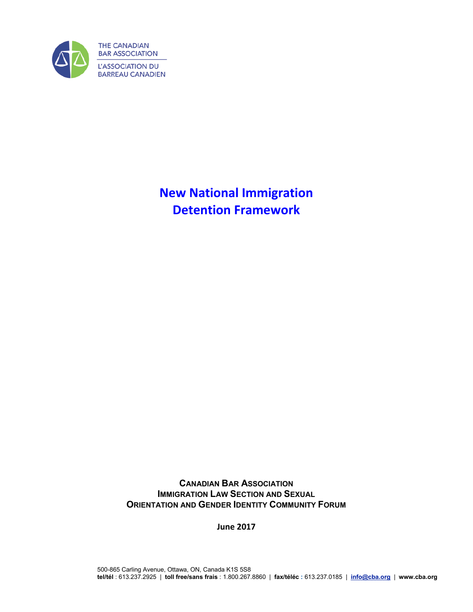

**New National Immigration Detention Framework**

**CANADIAN BAR ASSOCIATION IMMIGRATION LAW SECTION AND SEXUAL ORIENTATION AND GENDER IDENTITY COMMUNITY FORUM** 

**June 2017**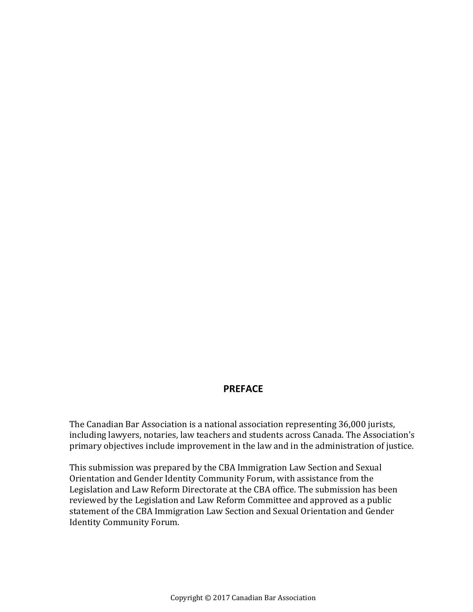### **PREFACE**

The Canadian Bar Association is a national association representing 36,000 jurists, including lawyers, notaries, law teachers and students across Canada. The Association's primary objectives include improvement in the law and in the administration of justice.

This submission was prepared by the CBA Immigration Law Section and Sexual Orientation and Gender Identity Community Forum, with assistance from the Legislation and Law Reform Directorate at the CBA office. The submission has been reviewed by the Legislation and Law Reform Committee and approved as a public statement of the CBA Immigration Law Section and Sexual Orientation and Gender Identity Community Forum.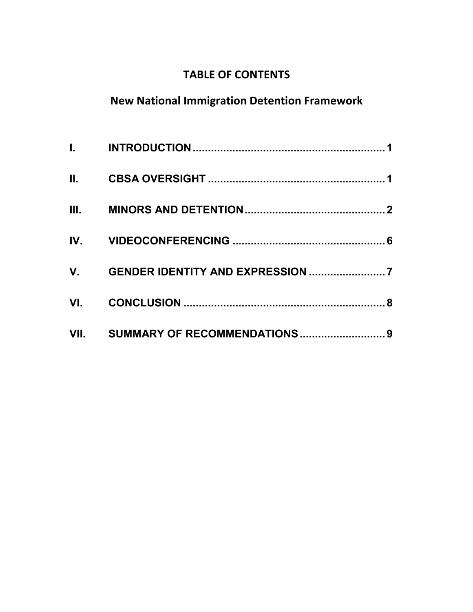## **TABLE OF CONTENTS**

# **New National Immigration Detention Framework**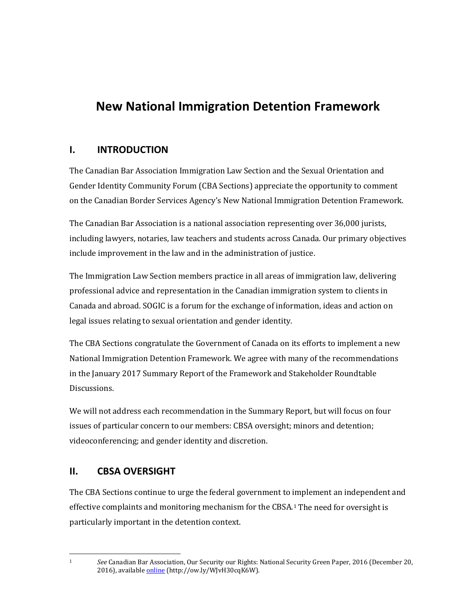# **New National Immigration Detention Framework**

## <span id="page-4-0"></span>**I. INTRODUCTION**

The Canadian Bar Association Immigration Law Section and the Sexual Orientation and Gender Identity Community Forum (CBA Sections) appreciate the opportunity to comment on the Canadian Border Services Agency's New National Immigration Detention Framework.

The Canadian Bar Association is a national association representing over 36,000 jurists, including lawyers, notaries, law teachers and students across Canada. Our primary objectives include improvement in the law and in the administration of justice.

The Immigration Law Section members practice in all areas of immigration law, delivering professional advice and representation in the Canadian immigration system to clients in Canada and abroad. SOGIC is a forum for the exchange of information, ideas and action on legal issues relating to sexual orientation and gender identity.

The CBA Sections congratulate the Government of Canada on its efforts to implement a new National Immigration Detention Framework. We agree with many of the recommendations in the January 2017 Summary Report of the Framework and Stakeholder Roundtable Discussions.

We will not address each recommendation in the Summary Report, but will focus on four issues of particular concern to our members: CBSA oversight; minors and detention; videoconferencing; and gender identity and discretion.

## <span id="page-4-1"></span>**II. CBSA OVERSIGHT**

The CBA Sections continue to urge the federal government to implement an independent and effective complaints and monitoring mechanism for the CBSA.[1](#page-4-2) The need for oversight is particularly important in the detention context.

1 *See* Canadian Bar Association, Our Security our Rights: National Security Green Paper, 2016 (December 20, 2016), availabl[e online \(](http://www.cba.org/CMSPages/GetFile.aspx?guid=82a13ac6-df5c-472a-969b-b832bb18f87d)http://ow.ly/WJvH30cqK6W).

<span id="page-4-2"></span> $\mathbf{1}$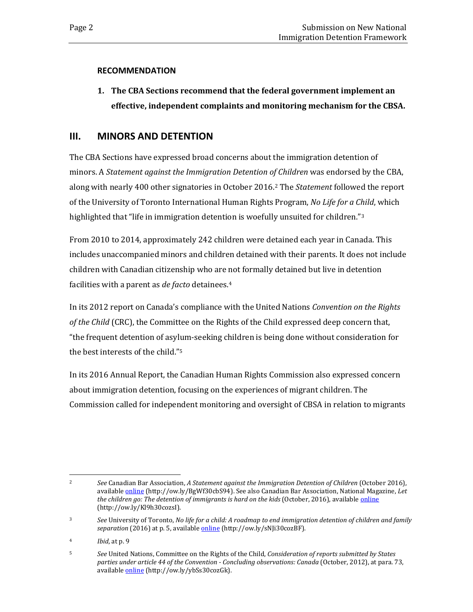#### **RECOMMENDATION**

**1. The CBA Sections recommend that the federal government implement an effective, independent complaints and monitoring mechanism for the CBSA.**

## <span id="page-5-0"></span>**III. MINORS AND DETENTION**

The CBA Sections have expressed broad concerns about the immigration detention of minors. A *Statement against the Immigration Detention of Children* was endorsed by the CBA, along with nearly 400 other signatories in October 2016.[2](#page-5-1) The *Statement* followed the report of the University of Toronto International Human Rights Program, *No Life for a Child*, which highlighted that "life in immigration detention is woefully unsuited for children."<sup>[3](#page-5-2)</sup>

From 2010 to 2014, approximately 242 children were detained each year in Canada. This includes unaccompanied minors and children detained with their parents. It does not include children with Canadian citizenship who are not formally detained but live in detention facilities with a parent as *de facto* detainees.[4](#page-5-3)

In its 2012 report on Canada's compliance with the United Nations *Convention on the Rights of the Child* (CRC), the Committee on the Rights of the Child expressed deep concern that, "the frequent detention of asylum-seeking children is being done without consideration for the best interests of the child."[5](#page-5-4)

In its 2016 Annual Report, the Canadian Human Rights Commission also expressed concern about immigration detention, focusing on the experiences of migrant children. The Commission called for independent monitoring and oversight of CBSA in relation to migrants

<span id="page-5-1"></span> $\overline{2}$ <sup>2</sup> *See* Canadian Bar Association, *A Statement against the Immigration Detention of Children* (October 2016), availabl[e online \(](http://www.cba.org/Our-Work/Submissions-(1)/Submissions/2016/October/A-Statement-Against-the-Immigration-Detention-of-C)http://ow.ly/BgWf30cbS94). See also Canadian Bar Association, National Magazine, *Let the children go: The detention of immigrants is hard on the kids* (October, 2016), availabl[e online](http://www.nationalmagazine.ca/Blog/October-2016/Let-the-children-go-The-detention-of-immigrants-is.aspx) (http://ow.ly/Kl9h30cozsI).

<span id="page-5-2"></span><sup>3</sup> *See* University of Toronto, *No life for a child: A roadmap to end immigration detention of children and family separation* (2016) at p. 5, availabl[e online \(](http://ihrp.law.utoronto.ca/utfl_file/count/PUBLICATIONS/Report-NoLifeForAChild.pdf)http://ow.ly/sNJi30cozBF).

<span id="page-5-3"></span><sup>4</sup> *Ibid*, at p. 9

<span id="page-5-4"></span><sup>5</sup> *See* United Nations, Committee on the Rights of the Child, *Consideration of reports submitted by States parties under article 44 of the Convention - Concluding observations: Canada* (October, 2012), at para. 73, available **online** (http://ow.ly/ybSs30cozGk).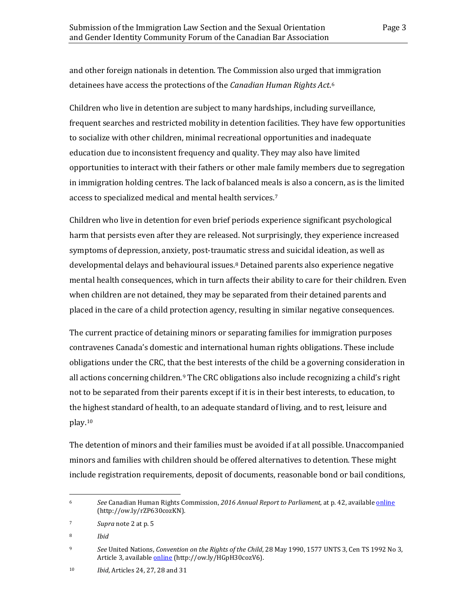and other foreign nationals in detention. The Commission also urged that immigration detainees have access the protections of the *Canadian Human Rights Act*[.6](#page-6-0)

Children who live in detention are subject to many hardships, including surveillance, frequent searches and restricted mobility in detention facilities. They have few opportunities to socialize with other children, minimal recreational opportunities and inadequate education due to inconsistent frequency and quality. They may also have limited opportunities to interact with their fathers or other male family members due to segregation in immigration holding centres. The lack of balanced meals is also a concern, as is the limited access to specialized medical and mental health services.[7](#page-6-1)

Children who live in detention for even brief periods experience significant psychological harm that persists even after they are released. Not surprisingly, they experience increased symptoms of depression, anxiety, post-traumatic stress and suicidal ideation, as well as developmental delays and behavioural issues.[8](#page-6-2) Detained parents also experience negative mental health consequences, which in turn affects their ability to care for their children. Even when children are not detained, they may be separated from their detained parents and placed in the care of a child protection agency, resulting in similar negative consequences.

The current practice of detaining minors or separating families for immigration purposes contravenes Canada's domestic and international human rights obligations. These include obligations under the CRC, that the best interests of the child be a governing consideration in all actions concerning children.[9](#page-6-3) The CRC obligations also include recognizing a child's right not to be separated from their parents except if it is in their best interests, to education, to the highest standard of health, to an adequate standard of living, and to rest, leisure and play.[10](#page-6-4)

The detention of minors and their families must be avoided if at all possible. Unaccompanied minors and families with children should be offered alternatives to detention. These might include registration requirements, deposit of documents, reasonable bond or bail conditions,

<span id="page-6-0"></span><sup>6</sup> 6 *See* Canadian Human Rights Commission, *2016 Annual Report to Parliament,* at p. 42, availabl[e online](http://www.chrcreport.ca/assets/pdf/CHRC-Annual-2016-EN-web.pdf) (http://ow.ly/rZP630cozKN).

<span id="page-6-1"></span><sup>7</sup> *Supra* note 2 at p. 5

<span id="page-6-2"></span><sup>8</sup> *Ibid*

<span id="page-6-3"></span><sup>9</sup> *See* United Nations, *Convention on the Rights of the Child*, 28 May 1990, 1577 UNTS 3, Cen TS 1992 No 3, Article 3, available *online* (http://ow.ly/HGpH30cozV6).

<span id="page-6-4"></span><sup>10</sup> *Ibid*, Articles 24, 27, 28 and 31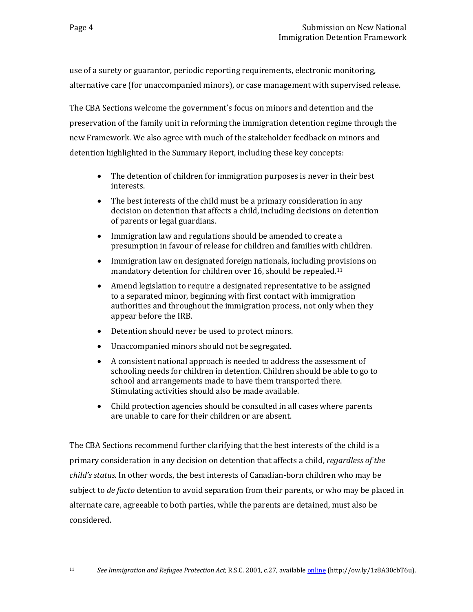use of a surety or guarantor, periodic reporting requirements, electronic monitoring, alternative care (for unaccompanied minors), or case management with supervised release.

The CBA Sections welcome the government's focus on minors and detention and the preservation of the family unit in reforming the immigration detention regime through the new Framework. We also agree with much of the stakeholder feedback on minors and detention highlighted in the Summary Report, including these key concepts:

- The detention of children for immigration purposes is never in their best interests.
- The best interests of the child must be a primary consideration in any decision on detention that affects a child, including decisions on detention of parents or legal guardians.
- Immigration law and regulations should be amended to create a presumption in favour of release for children and families with children.
- Immigration law on designated foreign nationals, including provisions on mandatory detention for children over 16, should be repealed.[11](#page-7-0)
- Amend legislation to require a designated representative to be assigned to a separated minor, beginning with first contact with immigration authorities and throughout the immigration process, not only when they appear before the IRB.
- Detention should never be used to protect minors.
- Unaccompanied minors should not be segregated.
- A consistent national approach is needed to address the assessment of schooling needs for children in detention. Children should be able to go to school and arrangements made to have them transported there. Stimulating activities should also be made available.
- Child protection agencies should be consulted in all cases where parents are unable to care for their children or are absent.

The CBA Sections recommend further clarifying that the best interests of the child is a primary consideration in any decision on detention that affects a child, *regardless of the child's status.* In other words, the best interests of Canadian-born children who may be subject to *de facto* detention to avoid separation from their parents, or who may be placed in alternate care, agreeable to both parties, while the parents are detained, must also be considered.

<span id="page-7-0"></span> $11$ 

<sup>11</sup> *See Immigration and Refugee Protection Act,* R.S.C. 2001, c.27, availabl[e online](http://ow.ly/1z8A30cbT6u) (http://ow.ly/1z8A30cbT6u).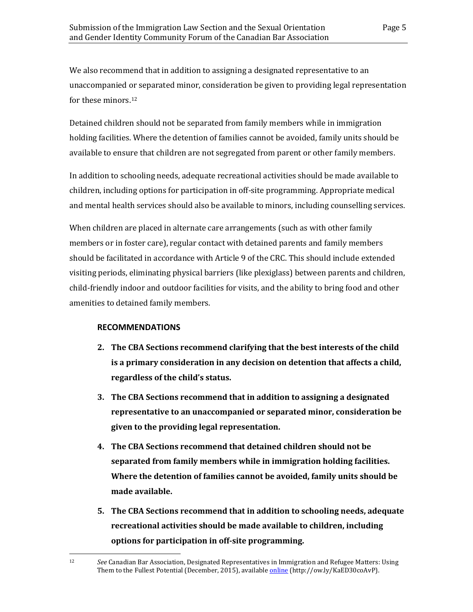We also recommend that in addition to assigning a designated representative to an unaccompanied or separated minor, consideration be given to providing legal representation for these minors.[12](#page-8-0)

Detained children should not be separated from family members while in immigration holding facilities. Where the detention of families cannot be avoided, family units should be available to ensure that children are not segregated from parent or other family members.

In addition to schooling needs, adequate recreational activities should be made available to children, including options for participation in off-site programming. Appropriate medical and mental health services should also be available to minors, including counselling services.

When children are placed in alternate care arrangements (such as with other family members or in foster care), regular contact with detained parents and family members should be facilitated in accordance with Article 9 of the CRC. This should include extended visiting periods, eliminating physical barriers (like plexiglass) between parents and children, child-friendly indoor and outdoor facilities for visits, and the ability to bring food and other amenities to detained family members.

#### **RECOMMENDATIONS**

- **2. The CBA Sections recommend clarifying that the best interests of the child is a primary consideration in any decision on detention that affects a child, regardless of the child's status.**
- **3. The CBA Sections recommend that in addition to assigning a designated representative to an unaccompanied or separated minor, consideration be given to the providing legal representation.**
- **4. The CBA Sections recommend that detained children should not be separated from family members while in immigration holding facilities. Where the detention of families cannot be avoided, family units should be made available.**
- **5. The CBA Sections recommend that in addition to schooling needs, adequate recreational activities should be made available to children, including options for participation in off-site programming.**

<span id="page-8-0"></span><sup>12</sup> 12 *See* Canadian Bar Association, Designated Representatives in Immigration and Refugee Matters: Using Them to the Fullest Potential (December, 2015), availabl[e online \(](http://www.cba.org/CMSPages/GetFile.aspx?guid=9bcfd983-d077-4829-9c64-99120b013dcd)http://ow.ly/KaED30coAvP).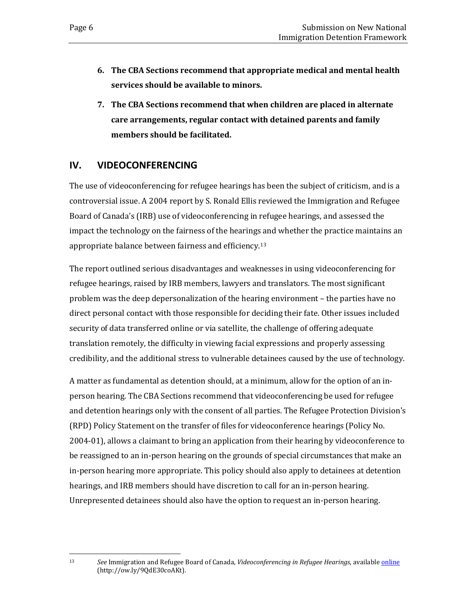- **6. The CBA Sections recommend that appropriate medical and mental health services should be available to minors.**
- **7. The CBA Sections recommend that when children are placed in alternate care arrangements, regular contact with detained parents and family members should be facilitated.**

## <span id="page-9-0"></span>**IV. VIDEOCONFERENCING**

The use of videoconferencing for refugee hearings has been the subject of criticism, and is a controversial issue. A 2004 report by S. Ronald Ellis reviewed the Immigration and Refugee Board of Canada's (IRB) use of videoconferencing in refugee hearings, and assessed the impact the technology on the fairness of the hearings and whether the practice maintains an appropriate balance between fairness and efficiency.[13](#page-9-1)

The report outlined serious disadvantages and weaknesses in using videoconferencing for refugee hearings, raised by IRB members, lawyers and translators. The most significant problem was the deep depersonalization of the hearing environment – the parties have no direct personal contact with those responsible for deciding their fate. Other issues included security of data transferred online or via satellite, the challenge of offering adequate translation remotely, the difficulty in viewing facial expressions and properly assessing credibility, and the additional stress to vulnerable detainees caused by the use of technology.

A matter as fundamental as detention should, at a minimum, allow for the option of an inperson hearing. The CBA Sections recommend that videoconferencing be used for refugee and detention hearings only with the consent of all parties. The Refugee Protection Division's (RPD) Policy Statement on the transfer of files for videoconference hearings (Policy No. 2004-01), allows a claimant to bring an application from their hearing by videoconference to be reassigned to an in-person hearing on the grounds of special circumstances that make an in-person hearing more appropriate. This policy should also apply to detainees at detention hearings, and IRB members should have discretion to call for an in-person hearing. Unrepresented detainees should also have the option to request an in-person hearing.

<span id="page-9-1"></span><sup>13</sup> 

<sup>13</sup> *See* Immigration and Refugee Board of Canada, *Videoconferencing in Refugee Hearings*, availabl[e online](http://www.irb-cisr.gc.ca/Eng/transp/ReviewEval/Pages/Video.aspx) (http://ow.ly/9QdE30coAKt).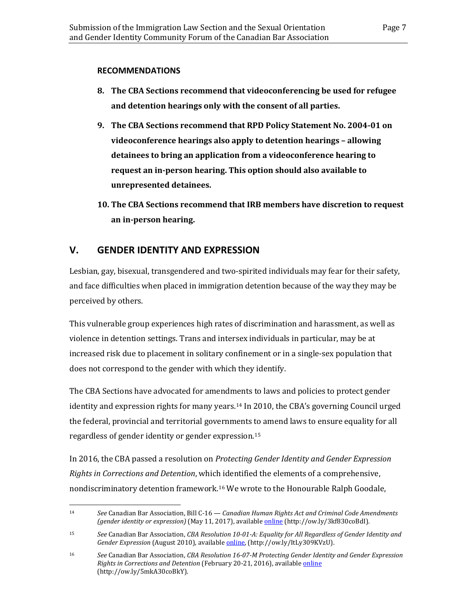#### **RECOMMENDATIONS**

- **8. The CBA Sections recommend that videoconferencing be used for refugee and detention hearings only with the consent of all parties.**
- **9. The CBA Sections recommend that RPD Policy Statement No. 2004-01 on videoconference hearings also apply to detention hearings – allowing detainees to bring an application from a videoconference hearing to request an in-person hearing. This option should also available to unrepresented detainees.**
- **10. The CBA Sections recommend that IRB members have discretion to request an in-person hearing.**

## <span id="page-10-0"></span>**V. GENDER IDENTITY AND EXPRESSION**

Lesbian, gay, bisexual, transgendered and two-spirited individuals may fear for their safety, and face difficulties when placed in immigration detention because of the way they may be perceived by others.

This vulnerable group experiences high rates of discrimination and harassment, as well as violence in detention settings. Trans and intersex individuals in particular, may be at increased risk due to placement in solitary confinement or in a single-sex population that does not correspond to the gender with which they identify.

The CBA Sections have advocated for amendments to laws and policies to protect gender identity and expression rights for many years.[14](#page-10-1) In 2010, the CBA's governing Council urged the federal, provincial and territorial governments to amend laws to ensure equality for all regardless of gender identity or gender expression.[15](#page-10-2)

In 2016, the CBA passed a resolution on *Protecting Gender Identity and Gender Expression Rights in Corrections and Detention*, which identified the elements of a comprehensive, nondiscriminatory detention framework.[16](#page-10-3) We wrote to the Honourable Ralph Goodale,

<span id="page-10-1"></span> $14<sup>1</sup>$ 14 *See* Canadian Bar Association, Bill C-16 — *Canadian Human Rights Act and Criminal Code Amendments (gender identity or expression)* (May 11, 2017), availabl[e online \(](http://www.cba.org/CMSPages/GetFile.aspx?guid=be34d5a4-8850-40a0-beea-432eeb762d7f)http://ow.ly/3kf830coBdI).

<span id="page-10-2"></span><sup>15</sup> *See* Canadian Bar Association, *CBA Resolution 10-01-A: Equality for All Regardless of Gender Identity and Gender Expression* (August 2010), availabl[e online,](http://ow.ly/ItLy309KVzU) (http://ow.ly/ItLy309KVzU).

<span id="page-10-3"></span><sup>16</sup> *See* Canadian Bar Association, *CBA Resolution 16-07-M Protecting Gender Identity and Gender Expression Rights in Corrections and Detention* (February 20-21, 2016), availabl[e online](http://www.cbsa-asfc.gc.ca/agency-agence/consult/consultations/nidf-cnmdi/menu-eng.html) (http://ow.ly/5mkA30coBkY).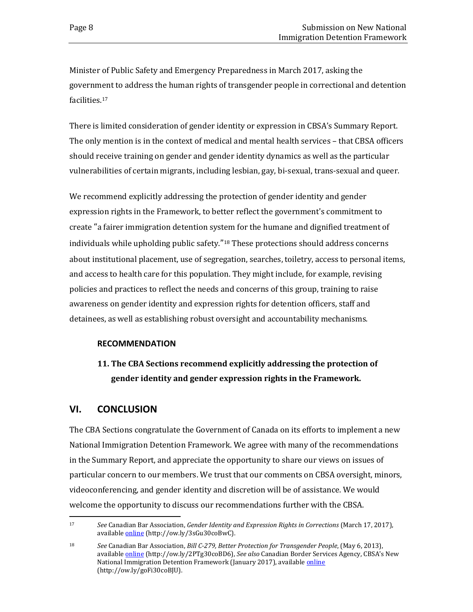Minister of Public Safety and Emergency Preparedness in March 2017, asking the government to address the human rights of transgender people in correctional and detention facilities.[17](#page-11-1)

There is limited consideration of gender identity or expression in CBSA's Summary Report. The only mention is in the context of medical and mental health services – that CBSA officers should receive training on gender and gender identity dynamics as well as the particular vulnerabilities of certain migrants, including lesbian, gay, bi-sexual, trans-sexual and queer.

We recommend explicitly addressing the protection of gender identity and gender expression rights in the Framework, to better reflect the government's commitment to create "a fairer immigration detention system for the humane and dignified treatment of individuals while upholding public safety."[18](#page-11-2) These protections should address concerns about institutional placement, use of segregation, searches, toiletry, access to personal items, and access to health care for this population. They might include, for example, revising policies and practices to reflect the needs and concerns of this group, training to raise awareness on gender identity and expression rights for detention officers, staff and detainees, as well as establishing robust oversight and accountability mechanisms.

#### **RECOMMENDATION**

## **11. The CBA Sections recommend explicitly addressing the protection of gender identity and gender expression rights in the Framework.**

### <span id="page-11-0"></span>**VI. CONCLUSION**

The CBA Sections congratulate the Government of Canada on its efforts to implement a new National Immigration Detention Framework. We agree with many of the recommendations in the Summary Report, and appreciate the opportunity to share our views on issues of particular concern to our members. We trust that our comments on CBSA oversight, minors, videoconferencing, and gender identity and discretion will be of assistance. We would welcome the opportunity to discuss our recommendations further with the CBSA.

<span id="page-11-1"></span><sup>17</sup> 17 *See* Canadian Bar Association, *Gender Identity and Expression Rights in Corrections* (March 17, 2017), available **online** (http://ow.ly/3sGu30coBwC).

<span id="page-11-2"></span><sup>18</sup> *See* Canadian Bar Association, *Bill C-279, Better Protection for Transgender People*, (May 6, 2013), availabl[e online \(](http://www.cba.org/CMSPages/GetFile.aspx?guid=bcbe6e19-2625-436b-b7fe-69a83764c4ff)http://ow.ly/2PTg30coBD6), *See also* Canadian Border Services Agency, CBSA's New National Immigration Detention Framework (January 2017), available *online* (http://ow.ly/goFi30coBJU).